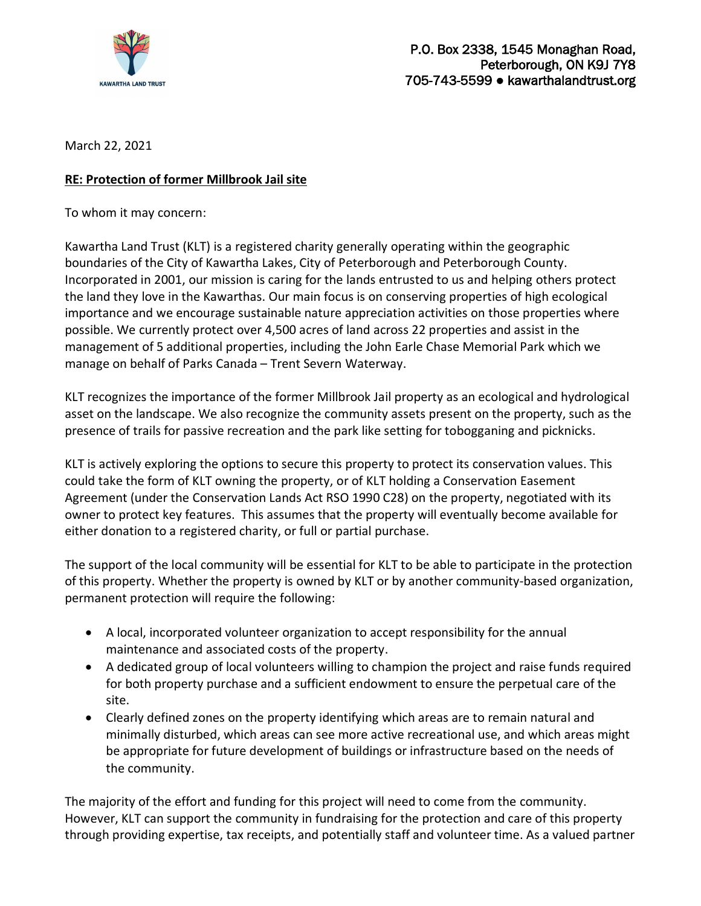

March 22, 2021

## **RE: Protection of former Millbrook Jail site**

To whom it may concern:

Kawartha Land Trust (KLT) is a registered charity generally operating within the geographic boundaries of the City of Kawartha Lakes, City of Peterborough and Peterborough County. Incorporated in 2001, our mission is caring for the lands entrusted to us and helping others protect the land they love in the Kawarthas. Our main focus is on conserving properties of high ecological importance and we encourage sustainable nature appreciation activities on those properties where possible. We currently protect over 4,500 acres of land across 22 properties and assist in the management of 5 additional properties, including the John Earle Chase Memorial Park which we manage on behalf of Parks Canada – Trent Severn Waterway.

KLT recognizes the importance of the former Millbrook Jail property as an ecological and hydrological asset on the landscape. We also recognize the community assets present on the property, such as the presence of trails for passive recreation and the park like setting for tobogganing and picknicks.

KLT is actively exploring the options to secure this property to protect its conservation values. This could take the form of KLT owning the property, or of KLT holding a Conservation Easement Agreement (under the Conservation Lands Act RSO 1990 C28) on the property, negotiated with its owner to protect key features. This assumes that the property will eventually become available for either donation to a registered charity, or full or partial purchase.

The support of the local community will be essential for KLT to be able to participate in the protection of this property. Whether the property is owned by KLT or by another community-based organization, permanent protection will require the following:

- A local, incorporated volunteer organization to accept responsibility for the annual maintenance and associated costs of the property.
- A dedicated group of local volunteers willing to champion the project and raise funds required for both property purchase and a sufficient endowment to ensure the perpetual care of the site.
- Clearly defined zones on the property identifying which areas are to remain natural and minimally disturbed, which areas can see more active recreational use, and which areas might be appropriate for future development of buildings or infrastructure based on the needs of the community.

The majority of the effort and funding for this project will need to come from the community. However, KLT can support the community in fundraising for the protection and care of this property through providing expertise, tax receipts, and potentially staff and volunteer time. As a valued partner